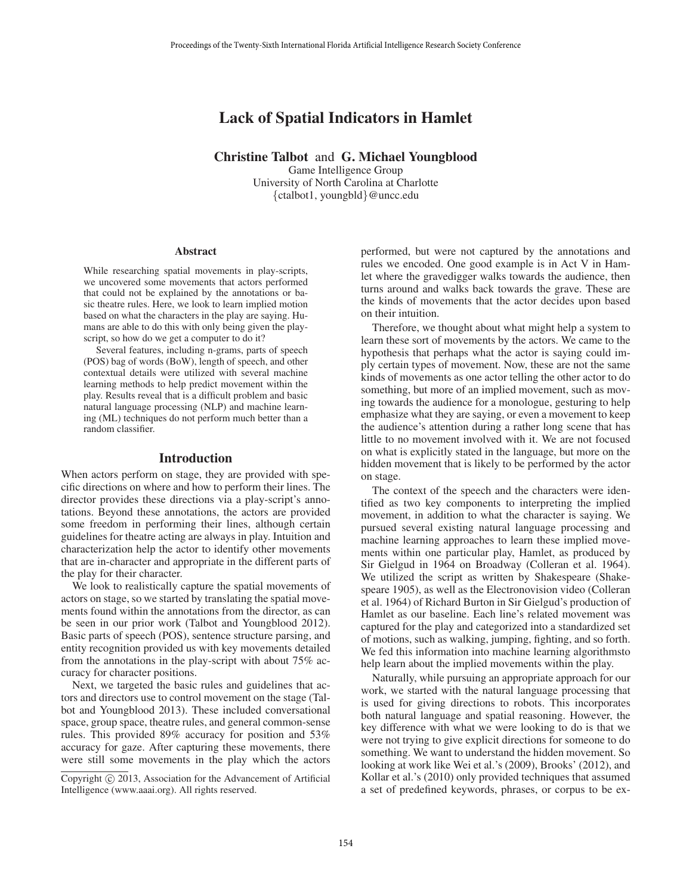# Lack of Spatial Indicators in Hamlet

Christine Talbot and G. Michael Youngblood

Game Intelligence Group University of North Carolina at Charlotte {ctalbot1, youngbld}@uncc.edu

#### Abstract

While researching spatial movements in play-scripts, we uncovered some movements that actors performed that could not be explained by the annotations or basic theatre rules. Here, we look to learn implied motion based on what the characters in the play are saying. Humans are able to do this with only being given the playscript, so how do we get a computer to do it?

Several features, including n-grams, parts of speech (POS) bag of words (BoW), length of speech, and other contextual details were utilized with several machine learning methods to help predict movement within the play. Results reveal that is a difficult problem and basic natural language processing (NLP) and machine learning (ML) techniques do not perform much better than a random classifier.

#### Introduction

When actors perform on stage, they are provided with specific directions on where and how to perform their lines. The director provides these directions via a play-script's annotations. Beyond these annotations, the actors are provided some freedom in performing their lines, although certain guidelines for theatre acting are always in play. Intuition and characterization help the actor to identify other movements that are in-character and appropriate in the different parts of the play for their character.

We look to realistically capture the spatial movements of actors on stage, so we started by translating the spatial movements found within the annotations from the director, as can be seen in our prior work (Talbot and Youngblood 2012). Basic parts of speech (POS), sentence structure parsing, and entity recognition provided us with key movements detailed from the annotations in the play-script with about 75% accuracy for character positions.

Next, we targeted the basic rules and guidelines that actors and directors use to control movement on the stage (Talbot and Youngblood 2013). These included conversational space, group space, theatre rules, and general common-sense rules. This provided 89% accuracy for position and 53% accuracy for gaze. After capturing these movements, there were still some movements in the play which the actors

performed, but were not captured by the annotations and rules we encoded. One good example is in Act V in Hamlet where the gravedigger walks towards the audience, then turns around and walks back towards the grave. These are the kinds of movements that the actor decides upon based on their intuition.

Therefore, we thought about what might help a system to learn these sort of movements by the actors. We came to the hypothesis that perhaps what the actor is saying could imply certain types of movement. Now, these are not the same kinds of movements as one actor telling the other actor to do something, but more of an implied movement, such as moving towards the audience for a monologue, gesturing to help emphasize what they are saying, or even a movement to keep the audience's attention during a rather long scene that has little to no movement involved with it. We are not focused on what is explicitly stated in the language, but more on the hidden movement that is likely to be performed by the actor on stage.

The context of the speech and the characters were identified as two key components to interpreting the implied movement, in addition to what the character is saying. We pursued several existing natural language processing and machine learning approaches to learn these implied movements within one particular play, Hamlet, as produced by Sir Gielgud in 1964 on Broadway (Colleran et al. 1964). We utilized the script as written by Shakespeare (Shakespeare 1905), as well as the Electronovision video (Colleran et al. 1964) of Richard Burton in Sir Gielgud's production of Hamlet as our baseline. Each line's related movement was captured for the play and categorized into a standardized set of motions, such as walking, jumping, fighting, and so forth. We fed this information into machine learning algorithmsto help learn about the implied movements within the play.

Naturally, while pursuing an appropriate approach for our work, we started with the natural language processing that is used for giving directions to robots. This incorporates both natural language and spatial reasoning. However, the key difference with what we were looking to do is that we were not trying to give explicit directions for someone to do something. We want to understand the hidden movement. So looking at work like Wei et al.'s (2009), Brooks' (2012), and Kollar et al.'s (2010) only provided techniques that assumed a set of predefined keywords, phrases, or corpus to be ex-

Copyright  $\odot$  2013, Association for the Advancement of Artificial Intelligence (www.aaai.org). All rights reserved.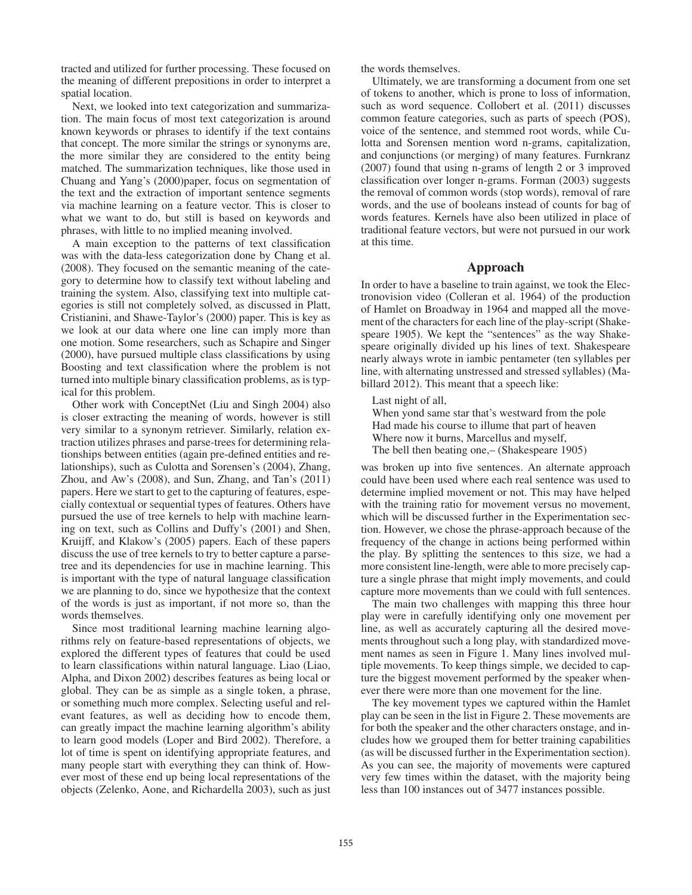tracted and utilized for further processing. These focused on the meaning of different prepositions in order to interpret a spatial location.

Next, we looked into text categorization and summarization. The main focus of most text categorization is around known keywords or phrases to identify if the text contains that concept. The more similar the strings or synonyms are, the more similar they are considered to the entity being matched. The summarization techniques, like those used in Chuang and Yang's (2000)paper, focus on segmentation of the text and the extraction of important sentence segments via machine learning on a feature vector. This is closer to what we want to do, but still is based on keywords and phrases, with little to no implied meaning involved.

A main exception to the patterns of text classification was with the data-less categorization done by Chang et al. (2008). They focused on the semantic meaning of the category to determine how to classify text without labeling and training the system. Also, classifying text into multiple categories is still not completely solved, as discussed in Platt, Cristianini, and Shawe-Taylor's (2000) paper. This is key as we look at our data where one line can imply more than one motion. Some researchers, such as Schapire and Singer (2000), have pursued multiple class classifications by using Boosting and text classification where the problem is not turned into multiple binary classification problems, as is typical for this problem.

Other work with ConceptNet (Liu and Singh 2004) also is closer extracting the meaning of words, however is still very similar to a synonym retriever. Similarly, relation extraction utilizes phrases and parse-trees for determining relationships between entities (again pre-defined entities and relationships), such as Culotta and Sorensen's (2004), Zhang, Zhou, and Aw's (2008), and Sun, Zhang, and Tan's (2011) papers. Here we start to get to the capturing of features, especially contextual or sequential types of features. Others have pursued the use of tree kernels to help with machine learning on text, such as Collins and Duffy's (2001) and Shen, Kruijff, and Klakow's (2005) papers. Each of these papers discuss the use of tree kernels to try to better capture a parsetree and its dependencies for use in machine learning. This is important with the type of natural language classification we are planning to do, since we hypothesize that the context of the words is just as important, if not more so, than the words themselves.

Since most traditional learning machine learning algorithms rely on feature-based representations of objects, we explored the different types of features that could be used to learn classifications within natural language. Liao (Liao, Alpha, and Dixon 2002) describes features as being local or global. They can be as simple as a single token, a phrase, or something much more complex. Selecting useful and relevant features, as well as deciding how to encode them, can greatly impact the machine learning algorithm's ability to learn good models (Loper and Bird 2002). Therefore, a lot of time is spent on identifying appropriate features, and many people start with everything they can think of. However most of these end up being local representations of the objects (Zelenko, Aone, and Richardella 2003), such as just

the words themselves.

Ultimately, we are transforming a document from one set of tokens to another, which is prone to loss of information, such as word sequence. Collobert et al. (2011) discusses common feature categories, such as parts of speech (POS), voice of the sentence, and stemmed root words, while Culotta and Sorensen mention word n-grams, capitalization, and conjunctions (or merging) of many features. Furnkranz (2007) found that using n-grams of length 2 or 3 improved classification over longer n-grams. Forman (2003) suggests the removal of common words (stop words), removal of rare words, and the use of booleans instead of counts for bag of words features. Kernels have also been utilized in place of traditional feature vectors, but were not pursued in our work at this time.

## Approach

In order to have a baseline to train against, we took the Electronovision video (Colleran et al. 1964) of the production of Hamlet on Broadway in 1964 and mapped all the movement of the characters for each line of the play-script (Shakespeare 1905). We kept the "sentences" as the way Shakespeare originally divided up his lines of text. Shakespeare nearly always wrote in iambic pentameter (ten syllables per line, with alternating unstressed and stressed syllables) (Mabillard 2012). This meant that a speech like:

Last night of all,

When yond same star that's westward from the pole Had made his course to illume that part of heaven Where now it burns, Marcellus and myself, The bell then beating one,– (Shakespeare 1905)

was broken up into five sentences. An alternate approach could have been used where each real sentence was used to determine implied movement or not. This may have helped with the training ratio for movement versus no movement, which will be discussed further in the Experimentation section. However, we chose the phrase-approach because of the frequency of the change in actions being performed within the play. By splitting the sentences to this size, we had a more consistent line-length, were able to more precisely capture a single phrase that might imply movements, and could capture more movements than we could with full sentences.

The main two challenges with mapping this three hour play were in carefully identifying only one movement per line, as well as accurately capturing all the desired movements throughout such a long play, with standardized movement names as seen in Figure 1. Many lines involved multiple movements. To keep things simple, we decided to capture the biggest movement performed by the speaker whenever there were more than one movement for the line.

The key movement types we captured within the Hamlet play can be seen in the list in Figure 2. These movements are for both the speaker and the other characters onstage, and includes how we grouped them for better training capabilities (as will be discussed further in the Experimentation section). As you can see, the majority of movements were captured very few times within the dataset, with the majority being less than 100 instances out of 3477 instances possible.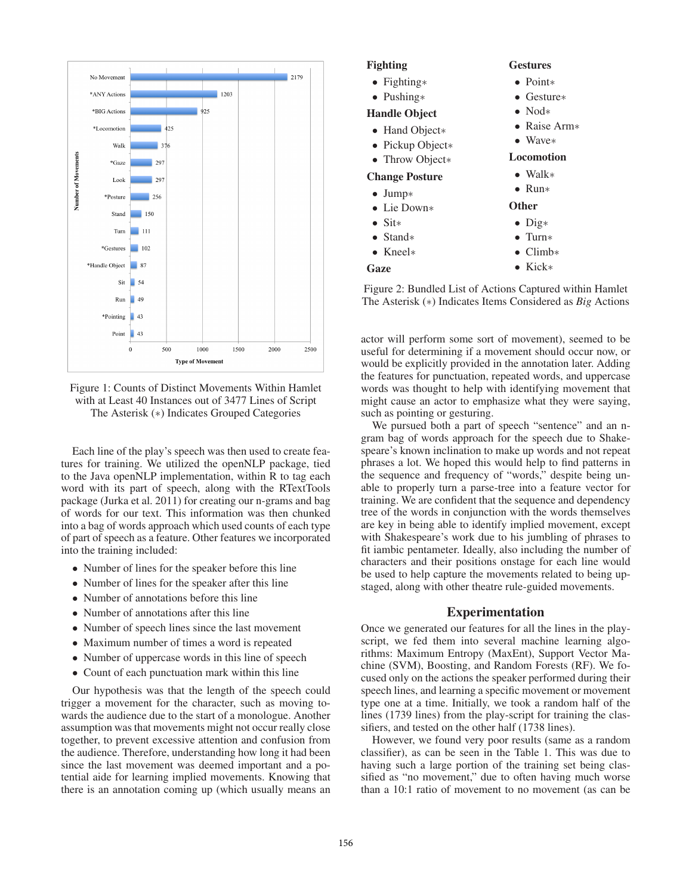

Figure 1: Counts of Distinct Movements Within Hamlet with at Least 40 Instances out of 3477 Lines of Script The Asterisk (∗) Indicates Grouped Categories

Each line of the play's speech was then used to create features for training. We utilized the openNLP package, tied to the Java openNLP implementation, within R to tag each word with its part of speech, along with the RTextTools package (Jurka et al. 2011) for creating our n-grams and bag of words for our text. This information was then chunked into a bag of words approach which used counts of each type of part of speech as a feature. Other features we incorporated into the training included:

- Number of lines for the speaker before this line
- Number of lines for the speaker after this line
- Number of annotations before this line
- Number of annotations after this line
- Number of speech lines since the last movement
- Maximum number of times a word is repeated
- Number of uppercase words in this line of speech
- Count of each punctuation mark within this line

Our hypothesis was that the length of the speech could trigger a movement for the character, such as moving towards the audience due to the start of a monologue. Another assumption was that movements might not occur really close together, to prevent excessive attention and confusion from the audience. Therefore, understanding how long it had been since the last movement was deemed important and a potential aide for learning implied movements. Knowing that there is an annotation coming up (which usually means an



Figure 2: Bundled List of Actions Captured within Hamlet The Asterisk (∗) Indicates Items Considered as *Big* Actions

actor will perform some sort of movement), seemed to be useful for determining if a movement should occur now, or would be explicitly provided in the annotation later. Adding the features for punctuation, repeated words, and uppercase words was thought to help with identifying movement that might cause an actor to emphasize what they were saying, such as pointing or gesturing.

We pursued both a part of speech "sentence" and an ngram bag of words approach for the speech due to Shakespeare's known inclination to make up words and not repeat phrases a lot. We hoped this would help to find patterns in the sequence and frequency of "words," despite being unable to properly turn a parse-tree into a feature vector for training. We are confident that the sequence and dependency tree of the words in conjunction with the words themselves are key in being able to identify implied movement, except with Shakespeare's work due to his jumbling of phrases to fit iambic pentameter. Ideally, also including the number of characters and their positions onstage for each line would be used to help capture the movements related to being upstaged, along with other theatre rule-guided movements.

#### Experimentation

Once we generated our features for all the lines in the playscript, we fed them into several machine learning algorithms: Maximum Entropy (MaxEnt), Support Vector Machine (SVM), Boosting, and Random Forests (RF). We focused only on the actions the speaker performed during their speech lines, and learning a specific movement or movement type one at a time. Initially, we took a random half of the lines (1739 lines) from the play-script for training the classifiers, and tested on the other half (1738 lines).

However, we found very poor results (same as a random classifier), as can be seen in the Table 1. This was due to having such a large portion of the training set being classified as "no movement," due to often having much worse than a 10:1 ratio of movement to no movement (as can be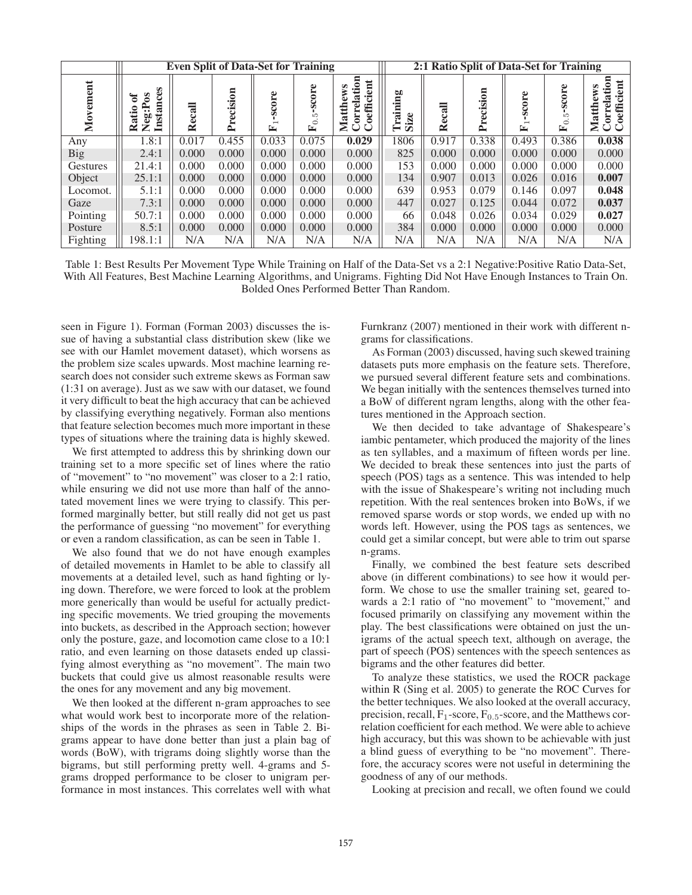|                         |                                                 | <b>Even Split of Data-Set for Training</b> |           |            |                           | 2:1 Ratio Split of Data-Set for Training                                   |                             |                                                                              |                            |                 |                             |                                                |  |
|-------------------------|-------------------------------------------------|--------------------------------------------|-----------|------------|---------------------------|----------------------------------------------------------------------------|-----------------------------|------------------------------------------------------------------------------|----------------------------|-----------------|-----------------------------|------------------------------------------------|--|
| $\overline{a}$<br>Movem | S<br><b>Instance</b><br>ัธ<br>atio<br>Neg:<br>≃ | $_{cal}$<br>ě<br>K                         | Precision | score<br>E | $_{\rm{ore}}$<br>ھتا<br>≃ | tion<br>ent<br>ws<br>$\mathbf{\overline{a}}$<br>oeffici<br>ڡ<br>atth<br>ΞJ | ning<br>Trai<br>ڡ<br>Ñ<br>迈 | $_{\rm cal}$<br>$\mathbf{\mathbf{\overset{\smash{e}}{\mathbf{\mathbf{R}}}}}$ | $\mathsf s$<br>cisi<br>Pre | $\sec$ ore<br>≃ | -score<br>Ľ<br>$\circ$<br>匞 | $\overline{\text{m}}$<br>oeffici<br>≊<br>Matth |  |
| Any                     | 1.8:1                                           | 0.017                                      | 0.455     | 0.033      | 0.075                     | 0.029                                                                      | 1806                        | 0.917                                                                        | 0.338                      | 0.493           | 0.386                       | 0.038                                          |  |
| Big                     | 2.4:1                                           | 0.000                                      | 0.000     | 0.000      | 0.000                     | 0.000                                                                      | 825                         | 0.000                                                                        | 0.000                      | 0.000           | 0.000                       | 0.000                                          |  |
| Gestures                | 21.4:1                                          | 0.000                                      | 0.000     | 0.000      | 0.000                     | 0.000                                                                      | 153                         | 0.000                                                                        | 0.000                      | 0.000           | 0.000                       | 0.000                                          |  |
| Object                  | 25.1:1                                          | 0.000                                      | 0.000     | 0.000      | 0.000                     | 0.000                                                                      | 134                         | 0.907                                                                        | 0.013                      | 0.026           | 0.016                       | 0.007                                          |  |
| Locomot.                | 5.1:1                                           | 0.000                                      | 0.000     | 0.000      | 0.000                     | 0.000                                                                      | 639                         | 0.953                                                                        | 0.079                      | 0.146           | 0.097                       | 0.048                                          |  |
| Gaze                    | 7.3:1                                           | 0.000                                      | 0.000     | 0.000      | 0.000                     | 0.000                                                                      | 447                         | 0.027                                                                        | 0.125                      | 0.044           | 0.072                       | 0.037                                          |  |
| Pointing                | 50.7:1                                          | 0.000                                      | 0.000     | 0.000      | 0.000                     | 0.000                                                                      | 66                          | 0.048                                                                        | 0.026                      | 0.034           | 0.029                       | 0.027                                          |  |
| Posture                 | 8.5:1                                           | 0.000                                      | 0.000     | 0.000      | 0.000                     | 0.000                                                                      | 384                         | 0.000                                                                        | 0.000                      | 0.000           | 0.000                       | 0.000                                          |  |
| Fighting                | 198.1:1                                         | N/A                                        | N/A       | N/A        | N/A                       | N/A                                                                        | N/A                         | N/A                                                                          | N/A                        | N/A             | N/A                         | N/A                                            |  |

Table 1: Best Results Per Movement Type While Training on Half of the Data-Set vs a 2:1 Negative:Positive Ratio Data-Set, With All Features, Best Machine Learning Algorithms, and Unigrams. Fighting Did Not Have Enough Instances to Train On. Bolded Ones Performed Better Than Random.

seen in Figure 1). Forman (Forman 2003) discusses the issue of having a substantial class distribution skew (like we see with our Hamlet movement dataset), which worsens as the problem size scales upwards. Most machine learning research does not consider such extreme skews as Forman saw (1:31 on average). Just as we saw with our dataset, we found it very difficult to beat the high accuracy that can be achieved by classifying everything negatively. Forman also mentions that feature selection becomes much more important in these types of situations where the training data is highly skewed.

We first attempted to address this by shrinking down our training set to a more specific set of lines where the ratio of "movement" to "no movement" was closer to a 2:1 ratio, while ensuring we did not use more than half of the annotated movement lines we were trying to classify. This performed marginally better, but still really did not get us past the performance of guessing "no movement" for everything or even a random classification, as can be seen in Table 1.

We also found that we do not have enough examples of detailed movements in Hamlet to be able to classify all movements at a detailed level, such as hand fighting or lying down. Therefore, we were forced to look at the problem more generically than would be useful for actually predicting specific movements. We tried grouping the movements into buckets, as described in the Approach section; however only the posture, gaze, and locomotion came close to a 10:1 ratio, and even learning on those datasets ended up classifying almost everything as "no movement". The main two buckets that could give us almost reasonable results were the ones for any movement and any big movement.

We then looked at the different n-gram approaches to see what would work best to incorporate more of the relationships of the words in the phrases as seen in Table 2. Bigrams appear to have done better than just a plain bag of words (BoW), with trigrams doing slightly worse than the bigrams, but still performing pretty well. 4-grams and 5 grams dropped performance to be closer to unigram performance in most instances. This correlates well with what

Furnkranz (2007) mentioned in their work with different ngrams for classifications.

As Forman (2003) discussed, having such skewed training datasets puts more emphasis on the feature sets. Therefore, we pursued several different feature sets and combinations. We began initially with the sentences themselves turned into a BoW of different ngram lengths, along with the other features mentioned in the Approach section.

We then decided to take advantage of Shakespeare's iambic pentameter, which produced the majority of the lines as ten syllables, and a maximum of fifteen words per line. We decided to break these sentences into just the parts of speech (POS) tags as a sentence. This was intended to help with the issue of Shakespeare's writing not including much repetition. With the real sentences broken into BoWs, if we removed sparse words or stop words, we ended up with no words left. However, using the POS tags as sentences, we could get a similar concept, but were able to trim out sparse n-grams.

Finally, we combined the best feature sets described above (in different combinations) to see how it would perform. We chose to use the smaller training set, geared towards a 2:1 ratio of "no movement" to "movement," and focused primarily on classifying any movement within the play. The best classifications were obtained on just the unigrams of the actual speech text, although on average, the part of speech (POS) sentences with the speech sentences as bigrams and the other features did better.

To analyze these statistics, we used the ROCR package within R (Sing et al. 2005) to generate the ROC Curves for the better techniques. We also looked at the overall accuracy, precision, recall,  $F_1$ -score,  $F_{0.5}$ -score, and the Matthews correlation coefficient for each method. We were able to achieve high accuracy, but this was shown to be achievable with just a blind guess of everything to be "no movement". Therefore, the accuracy scores were not useful in determining the goodness of any of our methods.

Looking at precision and recall, we often found we could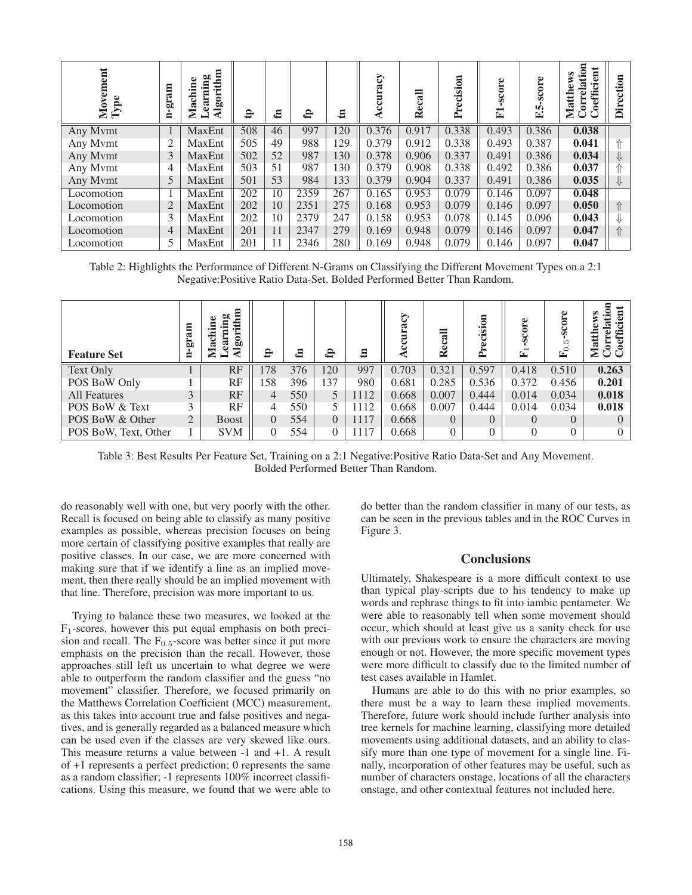| $_{\rm ent}$<br>Movem<br>${\bf Type}$ | me.ra-<br>Ė    | Algorithm<br>Learning<br>Machine | $\mathbf{e}$ | £  | $\mathbf{f}$ | $\Xi$ | Accuracy | $\overline{a}$<br>Rec | Precision | score<br>$\mathbf{E}$ | core<br>ŭ.<br>m<br>≃ | ation<br>oefficient<br>Correl:<br>Matth | $\mathsf s$<br>ecti<br>≓۰<br>≏ |
|---------------------------------------|----------------|----------------------------------|--------------|----|--------------|-------|----------|-----------------------|-----------|-----------------------|----------------------|-----------------------------------------|--------------------------------|
| Any Mymt                              |                | <b>MaxEnt</b>                    | 508          | 46 | 997          | 120   | 0.376    | 0.917                 | 0.338     | 0.493                 | 0.386                | 0.038                                   |                                |
| Any Mymt                              | $\overline{2}$ | MaxEnt                           | 505          | 49 | 988          | 129   | 0.379    | 0.912                 | 0.338     | 0.493                 | 0.387                | 0.041                                   | ⇑                              |
| Any Mymt                              | 3              | MaxEnt                           | 502          | 52 | 987          | 130   | 0.378    | 0.906                 | 0.337     | 0.491                 | 0.386                | 0.034                                   | ⇓                              |
| Any Mymt                              | 4              | MaxEnt                           | 503          | 51 | 987          | 130   | 0.379    | 0.908                 | 0.338     | 0.492                 | 0.386                | 0.037                                   | ⇑                              |
| Any Mymt                              | 5              | <b>MaxEnt</b>                    | 501          | 53 | 984          | 133   | 0.379    | 0.904                 | 0.337     | 0.491                 | 0.386                | 0.035                                   | $\Downarrow$                   |
| Locomotion                            |                | MaxEnt                           | 202          | 10 | 2359         | 267   | 0.165    | 0.953                 | 0.079     | 0.146                 | 0.097                | 0.048                                   |                                |
| Locomotion                            | $\overline{2}$ | MaxEnt                           | 202          | 10 | 2351         | 275   | 0.168    | 0.953                 | 0.079     | 0.146                 | 0.097                | 0.050                                   | ⇑                              |
| Locomotion                            | 3              | MaxEnt                           | 202          | 10 | 2379         | 247   | 0.158    | 0.953                 | 0.078     | 0.145                 | 0.096                | 0.043                                   | ⇓                              |
| Locomotion                            | 4              | MaxEnt                           | 201          | 11 | 2347         | 279   | 0.169    | 0.948                 | 0.079     | 0.146                 | 0.097                | 0.047                                   | $\Uparrow$                     |
| Locomotion                            | 5              | MaxEnt                           | 201          | 11 | 2346         | 280   | 0.169    | 0.948                 | 0.079     | 0.146                 | 0.097                | 0.047                                   |                                |

Table 2: Highlights the Performance of Different N-Grams on Classifying the Different Movement Types on a 2:1 Negative:Positive Ratio Data-Set. Bolded Performed Better Than Random.

| <b>Feature Set</b>   | am<br>E.<br>Ξ  | ра<br>Пр<br>Èĩ<br>ne<br>$\bullet$<br>ä<br>$\overline{5}$<br>ಡ<br>≅<br>▬ | 요  | ⊟   | 유        | $\mathbf{E}$ | <b>S</b> | $\overline{\mathbf{a}}$<br>$\mathbf{\mathbf{R}}$ e | $\overline{\mathbf{5}}$<br>'ਯ<br>≏ | core<br>⊵ | -score<br>LC.<br>$\circ$<br>⋤ | S<br>effi<br>□<br>$M$ a |
|----------------------|----------------|-------------------------------------------------------------------------|----|-----|----------|--------------|----------|----------------------------------------------------|------------------------------------|-----------|-------------------------------|-------------------------|
| <b>Text Only</b>     |                | RF                                                                      | 78 | 376 | 120      | 997          | 0.703    | 0.321                                              | 0.597                              | 0.418     | 0.510                         | 0.263                   |
| POS BoW Only         |                | RF                                                                      | 58 | 396 | 137      | 980          | 0.681    | 0.285                                              | 0.536                              | 0.372     | 0.456                         | 0.201                   |
| All Features         | 3              | RF                                                                      | 4  | 550 | 5        | 1112         | 0.668    | 0.007                                              | 0.444                              | 0.014     | 0.034                         | 0.018                   |
| POS BoW & Text       | 3              | RF                                                                      | 4  | 550 |          | 1112         | 0.668    | 0.007                                              | 0.444                              | 0.014     | 0.034                         | 0.018                   |
| POS BoW & Other      | $\overline{2}$ | <b>Boost</b>                                                            | 0  | 554 | $\Omega$ | 1117         | 0.668    | $\Omega$                                           | $\Omega$                           | $\Omega$  | $\Omega$                      | $\left($                |
| POS BoW, Text, Other |                | <b>SVM</b>                                                              | 0  | 554 | $\theta$ | 1117         | 0.668    | 0                                                  |                                    | $\theta$  | $\Omega$                      | $\Omega$                |

Table 3: Best Results Per Feature Set, Training on a 2:1 Negative:Positive Ratio Data-Set and Any Movement. Bolded Performed Better Than Random.

do reasonably well with one, but very poorly with the other. Recall is focused on being able to classify as many positive examples as possible, whereas precision focuses on being more certain of classifying positive examples that really are positive classes. In our case, we are more concerned with making sure that if we identify a line as an implied movement, then there really should be an implied movement with that line. Therefore, precision was more important to us.

Trying to balance these two measures, we looked at the  $F_1$ -scores, however this put equal emphasis on both precision and recall. The  $F_{0.5}$ -score was better since it put more emphasis on the precision than the recall. However, those approaches still left us uncertain to what degree we were able to outperform the random classifier and the guess "no movement" classifier. Therefore, we focused primarily on the Matthews Correlation Coefficient (MCC) measurement, as this takes into account true and false positives and negatives, and is generally regarded as a balanced measure which can be used even if the classes are very skewed like ours. This measure returns a value between -1 and +1. A result of +1 represents a perfect prediction; 0 represents the same as a random classifier; -1 represents 100% incorrect classifications. Using this measure, we found that we were able to

do better than the random classifier in many of our tests, as can be seen in the previous tables and in the ROC Curves in Figure 3.

## **Conclusions**

Ultimately, Shakespeare is a more difficult context to use than typical play-scripts due to his tendency to make up words and rephrase things to fit into iambic pentameter. We were able to reasonably tell when some movement should occur, which should at least give us a sanity check for use with our previous work to ensure the characters are moving enough or not. However, the more specific movement types were more difficult to classify due to the limited number of test cases available in Hamlet.

Humans are able to do this with no prior examples, so there must be a way to learn these implied movements. Therefore, future work should include further analysis into tree kernels for machine learning, classifying more detailed movements using additional datasets, and an ability to classify more than one type of movement for a single line. Finally, incorporation of other features may be useful, such as number of characters onstage, locations of all the characters onstage, and other contextual features not included here.